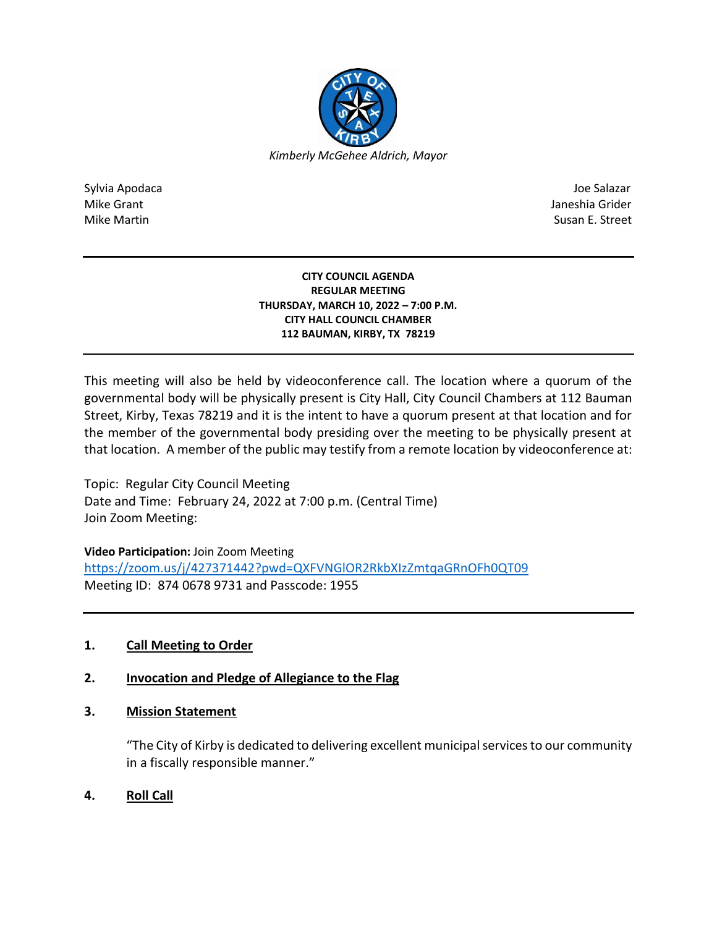

Sylvia Apodaca Joe Salazar Joe Salazar Joe Salazar Joe Salazar Joe Salazar Joe Salazar Joe Salazar Joe Salazar Mike Grant **Janeshia Grider** Janeshia Grider **Janeshia Grider** Janeshia Grider Janeshia Grider Mike Martin Susan E. Street

#### **CITY COUNCIL AGENDA REGULAR MEETING THURSDAY, MARCH 10, 2022 – 7:00 P.M. CITY HALL COUNCIL CHAMBER 112 BAUMAN, KIRBY, TX 78219**

This meeting will also be held by videoconference call. The location where a quorum of the governmental body will be physically present is City Hall, City Council Chambers at 112 Bauman Street, Kirby, Texas 78219 and it is the intent to have a quorum present at that location and for the member of the governmental body presiding over the meeting to be physically present at that location. A member of the public may testify from a remote location by videoconference at:

Topic: Regular City Council Meeting Date and Time: February 24, 2022 at 7:00 p.m. (Central Time) Join Zoom Meeting:

**Video Participation:** Join Zoom Meeting

<https://zoom.us/j/427371442?pwd=QXFVNGlOR2RkbXIzZmtqaGRnOFh0QT09> Meeting ID: 874 0678 9731 and Passcode: 1955

# **1. Call Meeting to Order**

# **2. Invocation and Pledge of Allegiance to the Flag**

## **3. Mission Statement**

"The City of Kirby is dedicated to delivering excellent municipal services to our community in a fiscally responsible manner."

**4. Roll Call**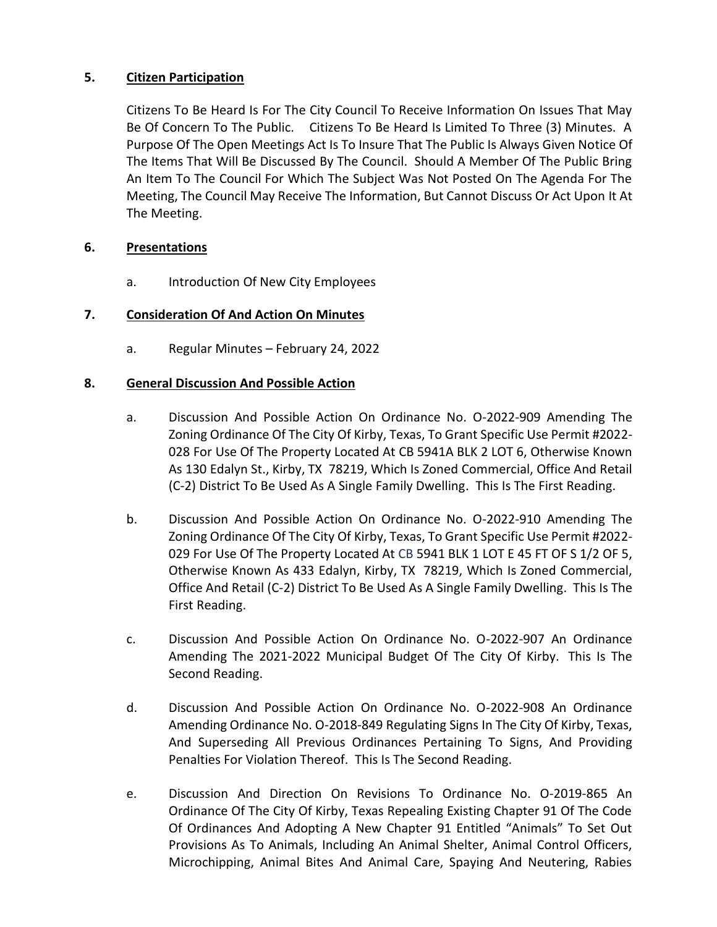## **5. Citizen Participation**

Citizens To Be Heard Is For The City Council To Receive Information On Issues That May Be Of Concern To The Public. Citizens To Be Heard Is Limited To Three (3) Minutes. A Purpose Of The Open Meetings Act Is To Insure That The Public Is Always Given Notice Of The Items That Will Be Discussed By The Council. Should A Member Of The Public Bring An Item To The Council For Which The Subject Was Not Posted On The Agenda For The Meeting, The Council May Receive The Information, But Cannot Discuss Or Act Upon It At The Meeting.

### **6. Presentations**

a. Introduction Of New City Employees

### **7. Consideration Of And Action On Minutes**

a. Regular Minutes – February 24, 2022

### **8. General Discussion And Possible Action**

- a. Discussion And Possible Action On Ordinance No. O-2022-909 Amending The Zoning Ordinance Of The City Of Kirby, Texas, To Grant Specific Use Permit #2022- 028 For Use Of The Property Located At CB 5941A BLK 2 LOT 6, Otherwise Known As 130 Edalyn St., Kirby, TX 78219, Which Is Zoned Commercial, Office And Retail (C-2) District To Be Used As A Single Family Dwelling. This Is The First Reading.
- b. Discussion And Possible Action On Ordinance No. O-2022-910 Amending The Zoning Ordinance Of The City Of Kirby, Texas, To Grant Specific Use Permit #2022- 029 For Use Of The Property Located At CB 5941 BLK 1 LOT E 45 FT OF S 1/2 OF 5, Otherwise Known As 433 Edalyn, Kirby, TX 78219, Which Is Zoned Commercial, Office And Retail (C-2) District To Be Used As A Single Family Dwelling. This Is The First Reading.
- c. Discussion And Possible Action On Ordinance No. O-2022-907 An Ordinance Amending The 2021-2022 Municipal Budget Of The City Of Kirby. This Is The Second Reading.
- d. Discussion And Possible Action On Ordinance No. O-2022-908 An Ordinance Amending Ordinance No. O-2018-849 Regulating Signs In The City Of Kirby, Texas, And Superseding All Previous Ordinances Pertaining To Signs, And Providing Penalties For Violation Thereof. This Is The Second Reading.
- e. Discussion And Direction On Revisions To Ordinance No. O-2019-865 An Ordinance Of The City Of Kirby, Texas Repealing Existing Chapter 91 Of The Code Of Ordinances And Adopting A New Chapter 91 Entitled "Animals" To Set Out Provisions As To Animals, Including An Animal Shelter, Animal Control Officers, Microchipping, Animal Bites And Animal Care, Spaying And Neutering, Rabies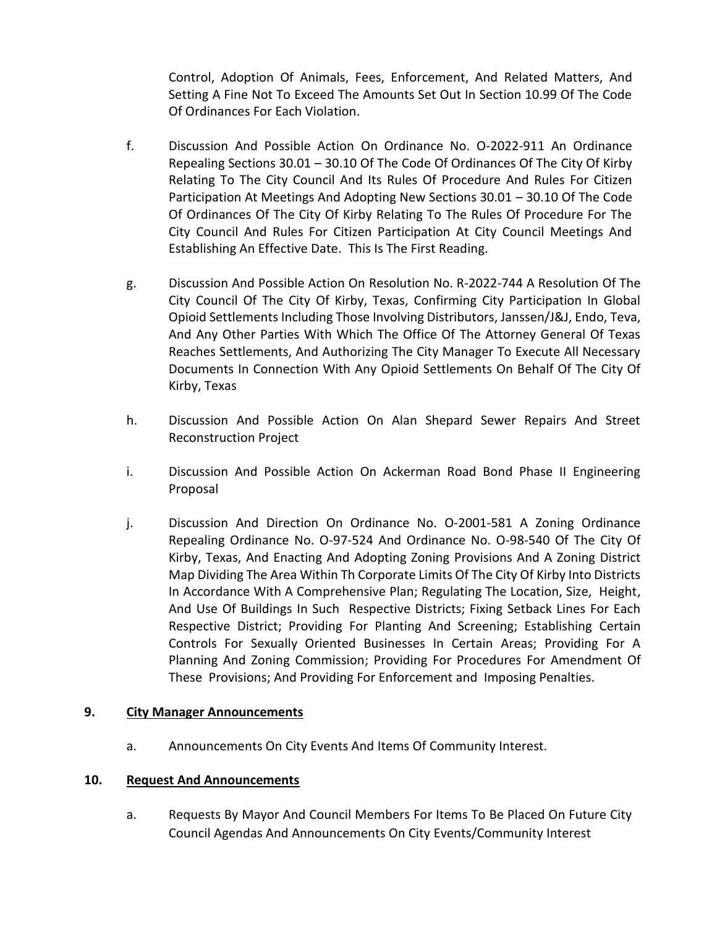Control, Adoption Of Animals, Fees, Enforcement, And Related Matters, And Setting A Fine Not To Exceed The Amounts Set Out In Section 10.99 Of The Code Of Ordinances For Each Violation.

- f. Discussion And Possible Action On Ordinance No. O-2022-911 An Ordinance Repealing Sections 30.01 – 30.10 Of The Code Of Ordinances Of The City Of Kirby Relating To The City Council And Its Rules Of Procedure And Rules For Citizen Participation At Meetings And Adopting New Sections 30.01 – 30.10 Of The Code Of Ordinances Of The City Of Kirby Relating To The Rules Of Procedure For The City Council And Rules For Citizen Participation At City Council Meetings And Establishing An Effective Date. This Is The First Reading.
- g. Discussion And Possible Action On Resolution No. R-2022-744 A Resolution Of The City Council Of The City Of Kirby, Texas, Confirming City Participation In Global Opioid Settlements Including Those Involving Distributors, Janssen/J&J, Endo, Teva, And Any Other Parties With Which The Office Of The Attorney General Of Texas Reaches Settlements, And Authorizing The City Manager To Execute All Necessary Documents In Connection With Any Opioid Settlements On Behalf Of The City Of Kirby, Texas
- h. Discussion And Possible Action On Alan Shepard Sewer Repairs And Street Reconstruction Project
- i. Discussion And Possible Action On Ackerman Road Bond Phase II Engineering Proposal
- j. Discussion And Direction On Ordinance No. O-2001-581 A Zoning Ordinance Repealing Ordinance No. O-97-524 And Ordinance No. O-98-540 Of The City Of Kirby, Texas, And Enacting And Adopting Zoning Provisions And A Zoning District Map Dividing The Area Within Th Corporate Limits Of The City Of Kirby Into Districts In Accordance With A Comprehensive Plan; Regulating The Location, Size, Height, And Use Of Buildings In Such Respective Districts; Fixing Setback Lines For Each Respective District; Providing For Planting And Screening; Establishing Certain Controls For Sexually Oriented Businesses In Certain Areas; Providing For A Planning And Zoning Commission; Providing For Procedures For Amendment Of These Provisions; And Providing For Enforcement and Imposing Penalties.

#### **9. City Manager Announcements**

a. Announcements On City Events And Items Of Community Interest.

#### **10. Request And Announcements**

a. Requests By Mayor And Council Members For Items To Be Placed On Future City Council Agendas And Announcements On City Events/Community Interest